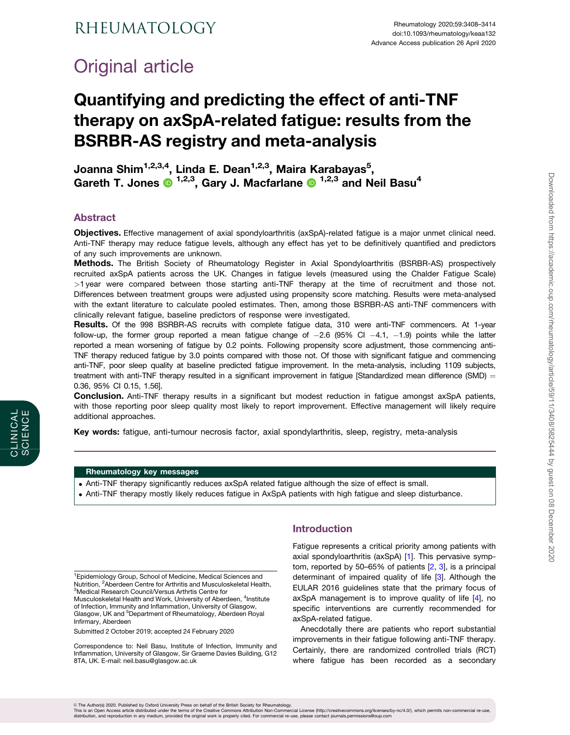# <span id="page-0-0"></span>Original article

## Quantifying and predicting the effect of anti-TNF therapy on axSpA-related fatigue: results from the BSRBR-AS registry and meta-analysis

Joanna Shim<sup>1,2,3,4</sup>, Linda E. Dean<sup>1,2,3</sup>, Maira Karabayas<sup>5</sup>, Gareth T. Jones  $\mathbf{D}^{1,2,3}$ , Gary J. Macfarlane  $\mathbf{D}^{1,2,3}$  and Neil Basu<sup>4</sup>

## Abstract

Objectives. Effective management of axial spondyloarthritis (axSpA)-related fatigue is a major unmet clinical need. Anti-TNF therapy may reduce fatigue levels, although any effect has yet to be definitively quantified and predictors of any such improvements are unknown.

Methods. The British Society of Rheumatology Register in Axial Spondyloarthritis (BSRBR-AS) prospectively recruited axSpA patients across the UK. Changes in fatigue levels (measured using the Chalder Fatigue Scale) >1 year were compared between those starting anti-TNF therapy at the time of recruitment and those not. Differences between treatment groups were adjusted using propensity score matching. Results were meta-analysed with the extant literature to calculate pooled estimates. Then, among those BSRBR-AS anti-TNF commencers with clinically relevant fatigue, baseline predictors of response were investigated.

Results. Of the 998 BSRBR-AS recruits with complete fatigue data, 310 were anti-TNF commencers. At 1-year follow-up, the former group reported a mean fatigue change of –2.6 (95% Cl –4.1, –1.9) points while the latter reported a mean worsening of fatigue by 0.2 points. Following propensity score adjustment, those commencing anti-TNF therapy reduced fatigue by 3.0 points compared with those not. Of those with significant fatigue and commencing anti-TNF, poor sleep quality at baseline predicted fatigue improvement. In the meta-analysis, including 1109 subjects, treatment with anti-TNF therapy resulted in a significant improvement in fatigue [Standardized mean difference (SMD)  $=$ 0.36, 95% CI 0.15, 1.56].

**Conclusion.** Anti-TNF therapy results in a significant but modest reduction in fatigue amongst axSpA patients, with those reporting poor sleep quality most likely to report improvement. Effective management will likely require additional approaches.

Key words: fatigue, anti-tumour necrosis factor, axial spondylarthritis, sleep, registry, meta-analysis

#### Rheumatology key messages

- . Anti-TNF therapy significantly reduces axSpA related fatigue although the size of effect is small.
- . Anti-TNF therapy mostly likely reduces fatigue in AxSpA patients with high fatigue and sleep disturbance.

CLINICAL SCIENCE

SCIENCE CLINICAL

> <sup>1</sup> Epidemiology Group, School of Medicine, Medical Sciences and Nutrition, <sup>2</sup> Aberdeen Centre for Arthritis and Musculoskeletal Health,<br><sup>3</sup> Medical Pesearch Council Versus Arthritis Centre for <sup>3</sup>Medical Research Council/Versus Arthrtis Centre for Musculoskeletal Health and Work, University of Aberdeen, <sup>4</sup>Institute of Infection, Immunity and Inflammation, University of Glasgow, Glasgow, UK and <sup>5</sup>Department of Rheumatology, Aberdeen Royal Infirmary, Aberdeen

Submitted 2 October 2019; accepted 24 February 2020

Correspondence to: Neil Basu, Institute of Infection, Immunity and Inflammation, University of Glasgow, Sir Graeme Davies Building, G12 8TA, UK. E-mail: neil.basu@glasgow.ac.uk

## **Introduction**

Fatigue represents a critical priority among patients with axial spondyloarthritis (axSpA) [\[1\]](#page-5-0). This pervasive symptom, reported by 50–65% of patients [\[2,](#page-5-0) [3\]](#page-5-0), is a principal determinant of impaired quality of life [[3\]](#page-5-0). Although the EULAR 2016 guidelines state that the primary focus of axSpA management is to improve quality of life [\[4\]](#page-5-0), no specific interventions are currently recommended for axSpA-related fatigue.

Anecdotally there are patients who report substantial improvements in their fatigue following anti-TNF therapy. Certainly, there are randomized controlled trials (RCT) where fatigue has been recorded as a secondary

© The Author(s) 2020. Published by Oxford University Press on behalf of the British Society for Rheumatology.<br>This is an Open Access article distributed under the therms of the Creative Commons Attribution Non-Commore (ht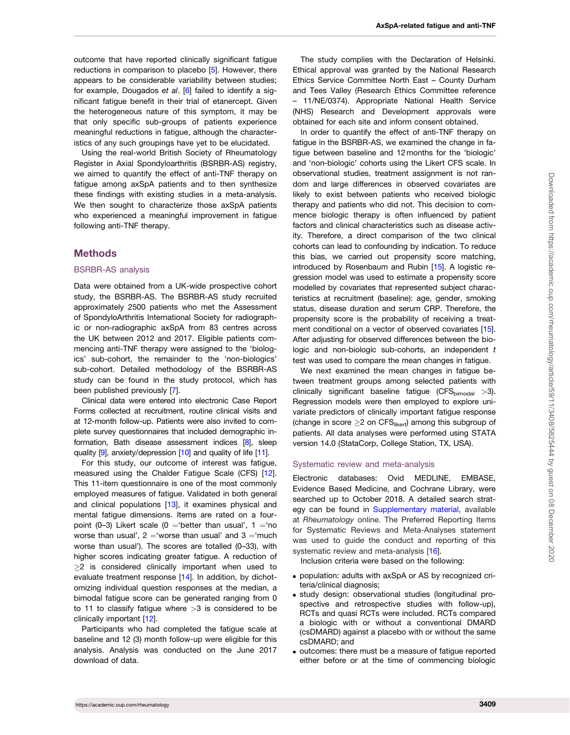<span id="page-1-0"></span>outcome that have reported clinically significant fatigue reductions in comparison to placebo [[5](#page-5-0)]. However, there appears to be considerable variability between studies; for example, Dougados et al. [\[6\]](#page-5-0) failed to identify a significant fatigue benefit in their trial of etanercept. Given the heterogeneous nature of this symptom, it may be that only specific sub-groups of patients experience meaningful reductions in fatigue, although the characteristics of any such groupings have yet to be elucidated.

Using the real-world British Society of Rheumatology Register in Axial Spondyloarthritis (BSRBR-AS) registry, we aimed to quantify the effect of anti-TNF therapy on fatigue among axSpA patients and to then synthesize these findings with existing studies in a meta-analysis. We then sought to characterize those axSpA patients who experienced a meaningful improvement in fatigue following anti-TNF therapy.

## **Methods**

#### BSRBR-AS analysis

Data were obtained from a UK-wide prospective cohort study, the BSRBR-AS. The BSRBR-AS study recruited approximately 2500 patients who met the Assessment of SpondyloArthritis International Society for radiographic or non-radiographic axSpA from 83 centres across the UK between 2012 and 2017. Eligible patients commencing anti-TNF therapy were assigned to the 'biologics' sub-cohort, the remainder to the 'non-biologics' sub-cohort. Detailed methodology of the BSRBR-AS study can be found in the study protocol, which has been published previously [[7](#page-5-0)].

Clinical data were entered into electronic Case Report Forms collected at recruitment, routine clinical visits and at 12-month follow-up. Patients were also invited to complete survey questionnaires that included demographic information, Bath disease assessment indices [\[8\]](#page-5-0), sleep quality [\[9\]](#page-6-0), anxiety/depression [\[10](#page-6-0)] and quality of life [\[11\]](#page-6-0).

For this study, our outcome of interest was fatigue, measured using the Chalder Fatigue Scale (CFS) [[12](#page-6-0)]. This 11-item questionnaire is one of the most commonly employed measures of fatigue. Validated in both general and clinical populations [[13\]](#page-6-0), it examines physical and mental fatigue dimensions. Items are rated on a fourpoint (0-3) Likert scale (0 = 'better than usual',  $1 = 'no$ worse than usual',  $2 = 'w$ orse than usual' and  $3 = 'much$ worse than usual'). The scores are totalled (0–33), with higher scores indicating greater fatigue. A reduction of  $\geq$ 2 is considered clinically important when used to evaluate treatment response [[14](#page-6-0)]. In addition, by dichotomizing individual question responses at the median, a bimodal fatigue score can be generated ranging from 0 to 11 to classify fatigue where >3 is considered to be clinically important [[12](#page-6-0)].

Participants who had completed the fatigue scale at baseline and 12 (3) month follow-up were eligible for this analysis. Analysis was conducted on the June 2017 download of data.

The study complies with the Declaration of Helsinki. Ethical approval was granted by the National Research Ethics Service Committee North East – County Durham and Tees Valley (Research Ethics Committee reference – 11/NE/0374). Appropriate National Health Service (NHS) Research and Development approvals were obtained for each site and inform consent obtained.

In order to quantify the effect of anti-TNF therapy on fatigue in the BSRBR-AS, we examined the change in fatigue between baseline and 12 months for the 'biologic' and 'non-biologic' cohorts using the Likert CFS scale. In observational studies, treatment assignment is not random and large differences in observed covariates are likely to exist between patients who received biologic therapy and patients who did not. This decision to commence biologic therapy is often influenced by patient factors and clinical characteristics such as disease activity. Therefore, a direct comparison of the two clinical cohorts can lead to confounding by indication. To reduce this bias, we carried out propensity score matching, introduced by Rosenbaum and Rubin [[15](#page-6-0)]. A logistic regression model was used to estimate a propensity score modelled by covariates that represented subject characteristics at recruitment (baseline): age, gender, smoking status, disease duration and serum CRP. Therefore, the propensity score is the probability of receiving a treatment conditional on a vector of observed covariates [\[15](#page-6-0)]. After adjusting for observed differences between the biologic and non-biologic sub-cohorts, an independent  $t$ test was used to compare the mean changes in fatigue.

We next examined the mean changes in fatigue between treatment groups among selected patients with clinically significant baseline fatigue (CFS $_{\text{bimodal}} > 3$ ). Regression models were then employed to explore univariate predictors of clinically important fatigue response (change in score  $\geq 2$  on CFS<sub>likert</sub>) among this subgroup of patients. All data analyses were performed using STATA version 14.0 (StataCorp, College Station, TX, USA).

#### Systematic review and meta-analysis

Electronic databases: Ovid MEDLINE, EMBASE, Evidence Based Medicine, and Cochrane Library, were searched up to October 2018. A detailed search strategy can be found in [Supplementary material](https://academic.oup.com/rheumatology/article-lookup/doi/10.1093/rheumatology/keaa132#supplementary-data), available at Rheumatology online. The Preferred Reporting Items for Systematic Reviews and Meta-Analyses statement was used to guide the conduct and reporting of this systematic review and meta-analysis [[16](#page-6-0)].

Inclusion criteria were based on the following:

- . population: adults with axSpA or AS by recognized criteria/clinical diagnosis;
- . study design: observational studies (longitudinal prospective and retrospective studies with follow-up), RCTs and quasi RCTs were included. RCTs compared a biologic with or without a conventional DMARD (csDMARD) against a placebo with or without the same csDMARD; and
- . outcomes: there must be a measure of fatigue reported either before or at the time of commencing biologic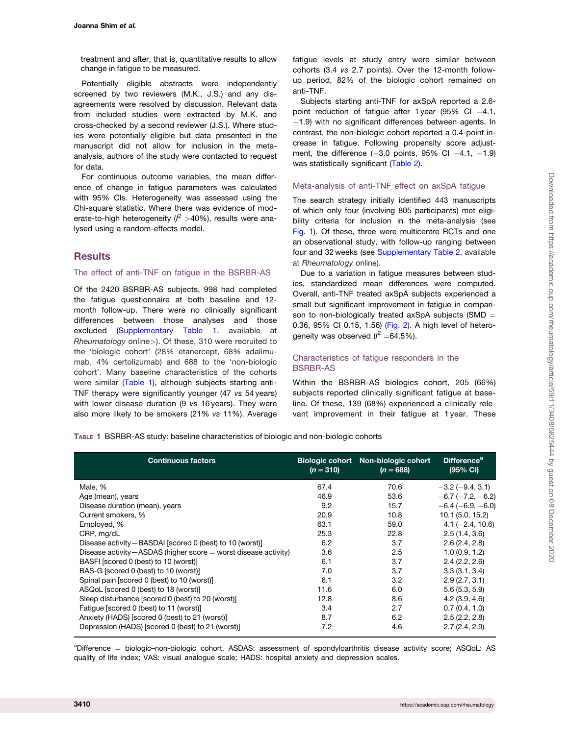treatment and after, that is, quantitative results to allow change in fatigue to be measured.

Potentially eligible abstracts were independently screened by two reviewers (M.K., J.S.) and any disagreements were resolved by discussion. Relevant data from included studies were extracted by M.K. and cross-checked by a second reviewer (J.S.). Where studies were potentially eligible but data presented in the manuscript did not allow for inclusion in the metaanalysis, authors of the study were contacted to request for data.

For continuous outcome variables, the mean difference of change in fatigue parameters was calculated with 95% CIs. Heterogeneity was assessed using the Chi-square statistic. Where there was evidence of moderate-to-high heterogeneity ( $l^2 > 40$ %), results were analysed using a random-effects model.

## **Results**

#### The effect of anti-TNF on fatigue in the BSRBR-AS

Of the 2420 BSRBR-AS subjects, 998 had completed the fatigue questionnaire at both baseline and 12 month follow-up. There were no clinically significant differences between those analyses and those excluded ([Supplementary Table 1](https://academic.oup.com/rheumatology/article-lookup/doi/10.1093/rheumatology/keaa132#supplementary-data), available at Rheumatology online>). Of these, 310 were recruited to the 'biologic cohort' (28% etanercept, 68% adalimumab, 4% certolizumab) and 688 to the 'non-biologic cohort'. Many baseline characteristics of the cohorts were similar (Table 1), although subjects starting anti-TNF therapy were significantly younger (47 vs 54 years) with lower disease duration (9 vs 16 years). They were also more likely to be smokers (21% vs 11%). Average

fatigue levels at study entry were similar between cohorts (3.4 vs 2.7 points). Over the 12-month followup period, 82% of the biologic cohort remained on anti-TNF.

Subjects starting anti-TNF for axSpA reported a 2.6 point reduction of fatigue after 1 year (95% CI  $-4.1$ , -1.9) with no significant differences between agents. In contrast, the non-biologic cohort reported a 0.4-point increase in fatigue. Following propensity score adjustment, the difference  $(-3.0 \text{ points}, 95\% \text{ Cl } -4.1, -1.9)$ was statistically significant [\(Table 2\)](#page-3-0).

### Meta-analysis of anti-TNF effect on axSpA fatigue

The search strategy initially identified 443 manuscripts of which only four (involving 805 participants) met eligibility criteria for inclusion in the meta-analysis (see [Fig. 1\)](#page-3-0). Of these, three were multicentre RCTs and one an observational study, with follow-up ranging between four and 32 weeks (see [Supplementary Table 2](https://academic.oup.com/rheumatology/article-lookup/doi/10.1093/rheumatology/keaa132#supplementary-data), available at Rheumatology online).

Due to a variation in fatigue measures between studies, standardized mean differences were computed. Overall, anti-TNF treated axSpA subjects experienced a small but significant improvement in fatigue in comparison to non-biologically treated axSpA subjects (SMD  $=$ 0.36, 95% CI 0.15, 1.56) [\(Fig. 2](#page-4-0)). A high level of heterogeneity was observed ( $l^2 = 64.5\%$ ).

## Characteristics of fatigue responders in the BSRBR-AS

Within the BSRBR-AS biologics cohort, 205 (66%) subjects reported clinically significant fatigue at baseline. Of these, 139 (68%) experienced a clinically relevant improvement in their fatigue at 1 year. These

TABLE 1 BSRBR-AS study: baseline characteristics of biologic and non-biologic cohorts

| <b>Continuous factors</b>                                            | $(n = 310)$ | Biologic cohort Non-biologic cohort<br>$(n = 688)$ | Difference <sup>a</sup><br>$(95% \text{ CI})$ |
|----------------------------------------------------------------------|-------------|----------------------------------------------------|-----------------------------------------------|
| Male, %                                                              | 67.4        | 70.6                                               | $-3.2$ ( $-9.4$ , 3.1)                        |
| Age (mean), years                                                    | 46.9        | 53.6                                               | $-6.7$ ( $-7.2, -6.2$ )                       |
| Disease duration (mean), years                                       | 9.2         | 15.7                                               | $-6.4(-6.9, -6.0)$                            |
| Current smokers, %                                                   | 20.9        | 10.8                                               | 10.1 (5.0, 15.2)                              |
| Employed, %                                                          | 63.1        | 59.0                                               | $4.1 (-2.4, 10.6)$                            |
| CRP, mg/dL                                                           | 25.3        | 22.8                                               | 2.5(1.4, 3.6)                                 |
| Disease activity-BASDAI [scored 0 (best) to 10 (worst)]              | 6.2         | 3.7                                                | 2.6(2.4, 2.8)                                 |
| Disease activity $-$ ASDAS (higher score $=$ worst disease activity) | 3.6         | 2.5                                                | 1.0(0.9, 1.2)                                 |
| BASFI [scored 0 (best) to 10 (worst)]                                | 6.1         | 3.7                                                | 2.4(2.2, 2.6)                                 |
| BAS-G [scored 0 (best) to 10 (worst)]                                | 7.0         | 3.7                                                | 3.3(3.1, 3.4)                                 |
| Spinal pain [scored 0 (best) to 10 (worst)]                          | 6.1         | 3.2                                                | 2.9(2.7, 3.1)                                 |
| ASQoL [scored 0 (best) to 18 (worst)]                                | 11.6        | 6.0                                                | 5.6(5.3, 5.9)                                 |
| Sleep disturbance [scored 0 (best) to 20 (worst)]                    | 12.8        | 8.6                                                | 4.2(3.9, 4.6)                                 |
| Fatique [scored 0 (best) to 11 (worst)]                              | 3.4         | 2.7                                                | 0.7(0.4, 1.0)                                 |
| Anxiety (HADS) [scored 0 (best) to 21 (worst)]                       | 8.7         | 6.2                                                | 2.5(2.2, 2.8)                                 |
| Depression (HADS) [scored 0 (best) to 21 (worst)]                    | 7.2         | 4.6                                                | 2.7(2.4, 2.9)                                 |

aDifference = biologic-non-biologic cohort. ASDAS: assessment of spondyloarthritis disease activity score; ASQoL: AS quality of life index; VAS: visual analogue scale; HADS: hospital anxiety and depression scales.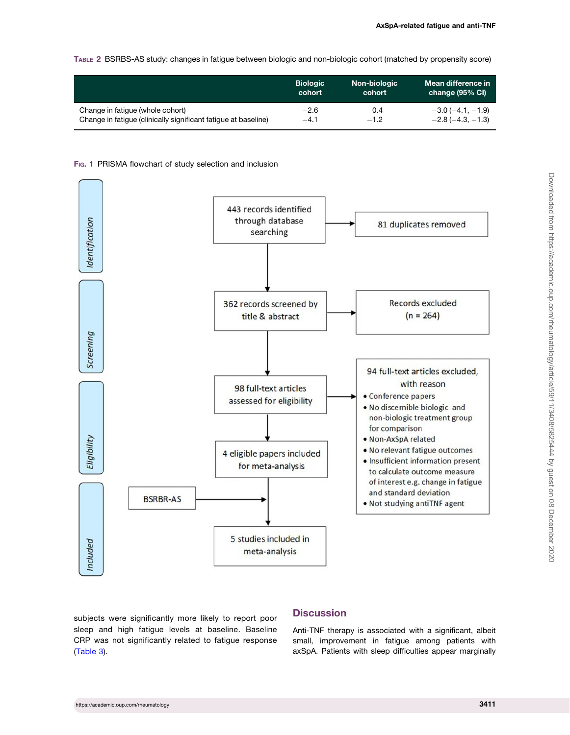#### <span id="page-3-0"></span>TABLE 2 BSRBS-AS study: changes in fatigue between biologic and non-biologic cohort (matched by propensity score)

|                                                                | <b>Biologic</b> | Non-biologic | Mean difference in         |
|----------------------------------------------------------------|-----------------|--------------|----------------------------|
|                                                                | cohort          | cohort       | change (95% CI)            |
| Change in fatigue (whole cohort)                               | $-2.6$          | 0.4          | $-3.0$ ( $-4.1$ , $-1.9$ ) |
| Change in fatique (clinically significant fatique at baseline) | $-4.1$          | $-1.2$       | $-2.8(-4.3,-1.3)$          |

#### Fig. 1 PRISMA flowchart of study selection and inclusion



subjects were significantly more likely to report poor sleep and high fatigue levels at baseline. Baseline CRP was not significantly related to fatigue response ([Table 3](#page-4-0)).

## **Discussion**

Anti-TNF therapy is associated with a significant, albeit small, improvement in fatigue among patients with axSpA. Patients with sleep difficulties appear marginally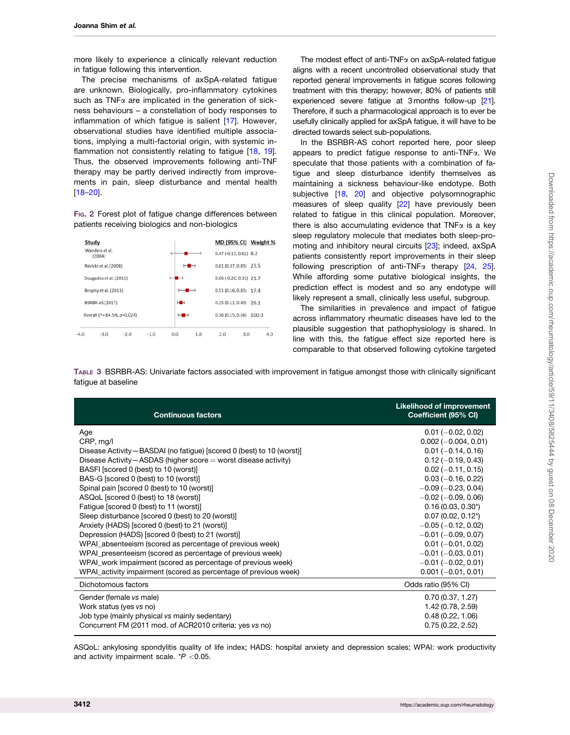<span id="page-4-0"></span>more likely to experience a clinically relevant reduction in fatigue following this intervention.

The precise mechanisms of axSpA-related fatigue are unknown. Biologically, pro-inflammatory cytokines such as  $TNF\alpha$  are implicated in the generation of sickness behaviours – a constellation of body responses to inflammation of which fatigue is salient [[17](#page-6-0)]. However, observational studies have identified multiple associations, implying a multi-factorial origin, with systemic in-flammation not consistently relating to fatigue [[18](#page-6-0), [19\]](#page-6-0). Thus, the observed improvements following anti-TNF therapy may be partly derived indirectly from improvements in pain, sleep disturbance and mental health [[18](#page-6-0)–[20](#page-6-0)].

FIG. 2 Forest plot of fatigue change differences between patients receiving biologics and non-biologics



The modest effect of anti-TNF $\alpha$  on axSpA-related fatigue aligns with a recent uncontrolled observational study that reported general improvements in fatigue scores following treatment with this therapy; however, 80% of patients still experienced severe fatigue at 3 months follow-up [\[21](#page-6-0)]. Therefore, if such a pharmacological approach is to ever be usefully clinically applied for axSpA fatigue, it will have to be directed towards select sub-populations.

In the BSRBR-AS cohort reported here, poor sleep appears to predict fatigue response to anti-TNFa. We speculate that those patients with a combination of fatigue and sleep disturbance identify themselves as maintaining a sickness behaviour-like endotype. Both subjective [\[18,](#page-6-0) [20\]](#page-6-0) and objective polysomnographic measures of sleep quality [[22](#page-6-0)] have previously been related to fatigue in this clinical population. Moreover, there is also accumulating evidence that  $TNF\alpha$  is a key sleep regulatory molecule that mediates both sleep-promoting and inhibitory neural circuits [\[23](#page-6-0)]; indeed, axSpA patients consistently report improvements in their sleep following prescription of anti-TNF $\alpha$  therapy [[24](#page-6-0), [25](#page-6-0)]. While affording some putative biological insights, the prediction effect is modest and so any endotype will likely represent a small, clinically less useful, subgroup.

The similarities in prevalence and impact of fatigue across inflammatory rheumatic diseases have led to the plausible suggestion that pathophysiology is shared. In line with this, the fatigue effect size reported here is comparable to that observed following cytokine targeted

TABLE 3 BSRBR-AS: Univariate factors associated with improvement in fatigue amongst those with clinically significant fatigue at baseline

| <b>Continuous factors</b>                                              | <b>Likelihood of improvement</b><br>Coefficient (95% CI) |
|------------------------------------------------------------------------|----------------------------------------------------------|
| Age                                                                    | $0.01 (-0.02, 0.02)$                                     |
| CRP, mg/l                                                              | $0.002 (-0.004, 0.01)$                                   |
| Disease Activity - BASDAI (no fatigue) [scored 0 (best) to 10 (worst)] | $0.01 (-0.14, 0.16)$                                     |
| Disease Activity – ASDAS (higher score $=$ worst disease activity)     | $0.12 (-0.19, 0.43)$                                     |
| BASFI [scored 0 (best) to 10 (worst)]                                  | $0.02$ (-0.11, 0.15)                                     |
| BAS-G [scored 0 (best) to 10 (worst)]                                  | $0.03 (-0.16, 0.22)$                                     |
| Spinal pain [scored 0 (best) to 10 (worst)]                            | $-0.09$ ( $-0.23$ , 0.04)                                |
| ASQoL [scored 0 (best) to 18 (worst)]                                  | $-0.02$ ( $-0.09$ , 0.06)                                |
| Fatigue [scored 0 (best) to 11 (worst)]                                | $0.16(0.03, 0.30^*)$                                     |
| Sleep disturbance [scored 0 (best) to 20 (worst)]                      | $0.07(0.02, 0.12*)$                                      |
| Anxiety (HADS) [scored 0 (best) to 21 (worst)]                         | $-0.05$ ( $-0.12$ , 0.02)                                |
| Depression (HADS) [scored 0 (best) to 21 (worst)]                      | $-0.01$ ( $-0.09$ , 0.07)                                |
| WPAI_absenteeism (scored as percentage of previous week)               | $0.01 (-0.01, 0.02)$                                     |
| WPAI_presenteeism (scored as percentage of previous week)              | $-0.01$ ( $-0.03, 0.01$ )                                |
| WPAI_work impairment (scored as percentage of previous week)           | $-0.01$ ( $-0.02, 0.01$ )                                |
| WPAI_activity impairment (scored as percentage of previous week)       | $0.001 (-0.01, 0.01)$                                    |
| Dichotomous factors                                                    | Odds ratio (95% CI)                                      |
| Gender (female vs male)                                                | 0.70(0.37, 1.27)                                         |
| Work status (yes vs no)                                                | 1.42 (0.78, 2.59)                                        |
| Job type (mainly physical vs mainly sedentary)                         | 0.48(0.22, 1.06)                                         |
| Concurrent FM (2011 mod. of ACR2010 criteria: yes vs no)               | 0.75(0.22, 2.52)                                         |
|                                                                        |                                                          |

ASQoL: ankylosing spondylitis quality of life index; HADS: hospital anxiety and depression scales; WPAI: work productivity and activity impairment scale.  $*P < 0.05$ .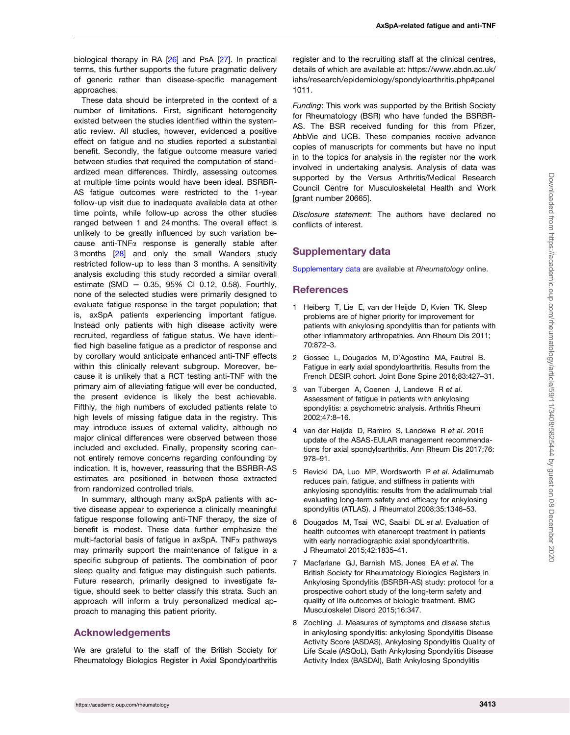<span id="page-5-0"></span>biological therapy in RA [[26\]](#page-6-0) and PsA [\[27](#page-6-0)]. In practical terms, this further supports the future pragmatic delivery of generic rather than disease-specific management approaches.

These data should be interpreted in the context of a number of limitations. First, significant heterogeneity existed between the studies identified within the systematic review. All studies, however, evidenced a positive effect on fatigue and no studies reported a substantial benefit. Secondly, the fatigue outcome measure varied between studies that required the computation of standardized mean differences. Thirdly, assessing outcomes at multiple time points would have been ideal. BSRBR-AS fatigue outcomes were restricted to the 1-year follow-up visit due to inadequate available data at other time points, while follow-up across the other studies ranged between 1 and 24 months. The overall effect is unlikely to be greatly influenced by such variation because anti-TNFa response is generally stable after 3 months [[28](#page-6-0)] and only the small Wanders study restricted follow-up to less than 3 months. A sensitivity analysis excluding this study recorded a similar overall estimate (SMD  $= 0.35, 95\%$  CI 0.12, 0.58). Fourthly, none of the selected studies were primarily designed to evaluate fatigue response in the target population; that is, axSpA patients experiencing important fatigue. Instead only patients with high disease activity were recruited, regardless of fatigue status. We have identified high baseline fatigue as a predictor of response and by corollary would anticipate enhanced anti-TNF effects within this clinically relevant subgroup. Moreover, because it is unlikely that a RCT testing anti-TNF with the primary aim of alleviating fatigue will ever be conducted, the present evidence is likely the best achievable. Fifthly, the high numbers of excluded patients relate to high levels of missing fatigue data in the registry. This may introduce issues of external validity, although no major clinical differences were observed between those included and excluded. Finally, propensity scoring cannot entirely remove concerns regarding confounding by indication. It is, however, reassuring that the BSRBR-AS estimates are positioned in between those extracted from randomized controlled trials.

In summary, although many axSpA patients with active disease appear to experience a clinically meaningful fatigue response following anti-TNF therapy, the size of benefit is modest. These data further emphasize the multi-factorial basis of fatigue in axSpA. TNFa pathways may primarily support the maintenance of fatigue in a specific subgroup of patients. The combination of poor sleep quality and fatigue may distinguish such patients. Future research, primarily designed to investigate fatigue, should seek to better classify this strata. Such an approach will inform a truly personalized medical approach to managing this patient priority.

## Acknowledgements

We are grateful to the staff of the British Society for Rheumatology Biologics Register in Axial Spondyloarthritis register and to the recruiting staff at the clinical centres, details of which are available at: [https://www.abdn.ac.uk/](https://www.abdn.ac.uk/iahs/research/epidemiology/spondyloarthritis.php#panel1011) [iahs/research/epidemiology/spondyloarthritis.php#panel](https://www.abdn.ac.uk/iahs/research/epidemiology/spondyloarthritis.php#panel1011) [1011.](https://www.abdn.ac.uk/iahs/research/epidemiology/spondyloarthritis.php#panel1011)

Funding: This work was supported by the British Society for Rheumatology (BSR) who have funded the BSRBR-AS. The BSR received funding for this from Pfizer, AbbVie and UCB. These companies receive advance copies of manuscripts for comments but have no input in to the topics for analysis in the register nor the work involved in undertaking analysis. Analysis of data was supported by the Versus Arthritis/Medical Research Council Centre for Musculoskeletal Health and Work [grant number 20665].

Disclosure statement: The authors have declared no conflicts of interest.

## Supplementary data

[Supplementary data](https://academic.oup.com/rheumatology/article-lookup/doi/10.1093/rheumatology/keaa132#supplementary-data) are available at Rheumatology online.

## **References**

- [1](#page-0-0) Heiberg T, Lie E, van der Heijde D, Kvien TK. Sleep problems are of higher priority for improvement for patients with ankylosing spondylitis than for patients with other inflammatory arthropathies. Ann Rheum Dis 2011; 70:872–3.
- [2](#page-0-0) Gossec L, Dougados M, D'Agostino MA, Fautrel B. Fatigue in early axial spondyloarthritis. Results from the French DESIR cohort. Joint Bone Spine 2016;83:427–31.
- [3](#page-0-0) van Tubergen A, Coenen J, Landewe R et al. Assessment of fatigue in patients with ankylosing spondylitis: a psychometric analysis. Arthritis Rheum 2002;47:8–16.
- [4](#page-0-0) van der Heijde D, Ramiro S, Landewe R et al. 2016 update of the ASAS-EULAR management recommendations for axial spondyloarthritis. Ann Rheum Dis 2017;76: 978–91.
- [5](#page-1-0) Revicki DA, Luo MP, Wordsworth P et al. Adalimumab reduces pain, fatigue, and stiffness in patients with ankylosing spondylitis: results from the adalimumab trial evaluating long-term safety and efficacy for ankylosing spondylitis (ATLAS). J Rheumatol 2008;35:1346–53.
- [6](#page-1-0) Dougados M, Tsai WC, Saaibi DL et al. Evaluation of health outcomes with etanercept treatment in patients with early nonradiographic axial spondyloarthritis. J Rheumatol 2015;42:1835–41.
- [7](#page-1-0) Macfarlane GJ, Barnish MS, Jones EA et al. The British Society for Rheumatology Biologics Registers in Ankylosing Spondylitis (BSRBR-AS) study: protocol for a prospective cohort study of the long-term safety and quality of life outcomes of biologic treatment. BMC Musculoskelet Disord 2015;16:347.
- [8](#page-1-0) Zochling J. Measures of symptoms and disease status in ankylosing spondylitis: ankylosing Spondylitis Disease Activity Score (ASDAS), Ankylosing Spondylitis Quality of Life Scale (ASQoL), Bath Ankylosing Spondylitis Disease Activity Index (BASDAI), Bath Ankylosing Spondylitis